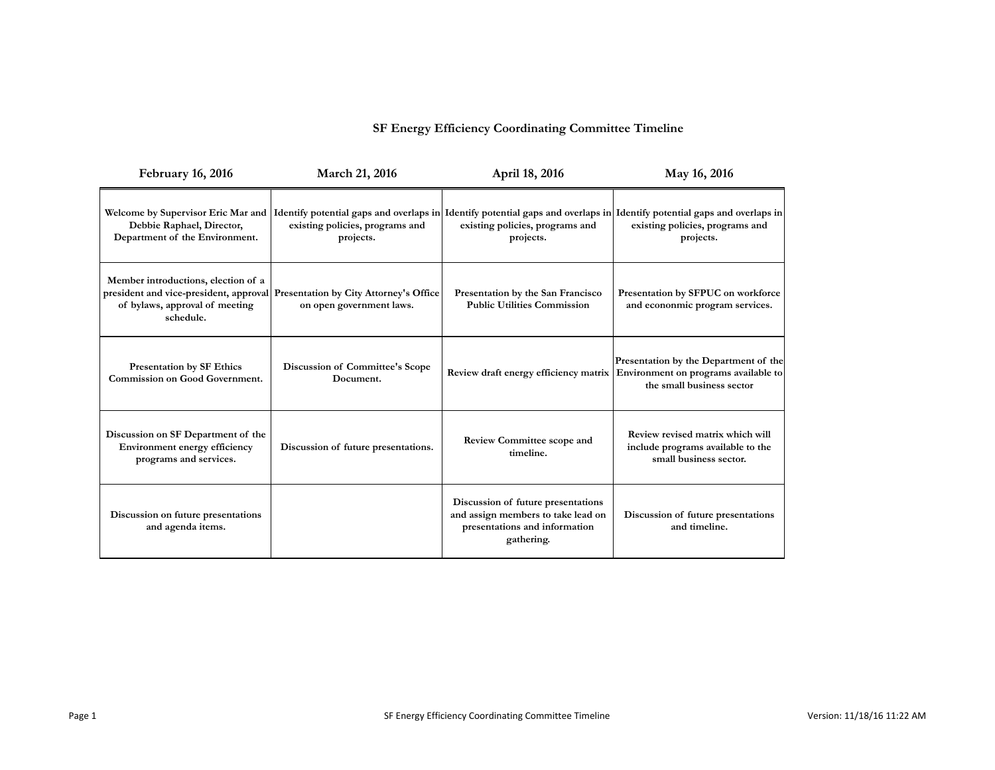# **SF Energy Efficiency Coordinating Committee Timeline**

| <b>February 16, 2016</b>                                                                          | March 21, 2016                                                                                                                                                          | April 18, 2016                                                                                                          | May 16, 2016                                                                                                                                     |
|---------------------------------------------------------------------------------------------------|-------------------------------------------------------------------------------------------------------------------------------------------------------------------------|-------------------------------------------------------------------------------------------------------------------------|--------------------------------------------------------------------------------------------------------------------------------------------------|
| Welcome by Supervisor Eric Mar and<br>Debbie Raphael, Director,<br>Department of the Environment. | Identify potential gaps and overlaps in Identify potential gaps and overlaps in Identify potential gaps and overlaps in<br>existing policies, programs and<br>projects. | existing policies, programs and<br>projects.                                                                            | existing policies, programs and<br>projects.                                                                                                     |
| Member introductions, election of a<br>of bylaws, approval of meeting<br>schedule.                | president and vice-president, approval Presentation by City Attorney's Office<br>on open government laws.                                                               | Presentation by the San Francisco<br><b>Public Utilities Commission</b>                                                 | Presentation by SFPUC on workforce<br>and econonmic program services.                                                                            |
| <b>Presentation by SF Ethics</b><br><b>Commission on Good Government.</b>                         | Discussion of Committee's Scope<br>Document.                                                                                                                            |                                                                                                                         | Presentation by the Department of the<br>Review draft energy efficiency matrix Environment on programs available to<br>the small business sector |
| Discussion on SF Department of the<br>Environment energy efficiency<br>programs and services.     | Discussion of future presentations.                                                                                                                                     | <b>Review Committee scope and</b><br>timeline.                                                                          | Review revised matrix which will<br>include programs available to the<br>small business sector.                                                  |
| Discussion on future presentations<br>and agenda items.                                           |                                                                                                                                                                         | Discussion of future presentations<br>and assign members to take lead on<br>presentations and information<br>gathering. | Discussion of future presentations<br>and timeline.                                                                                              |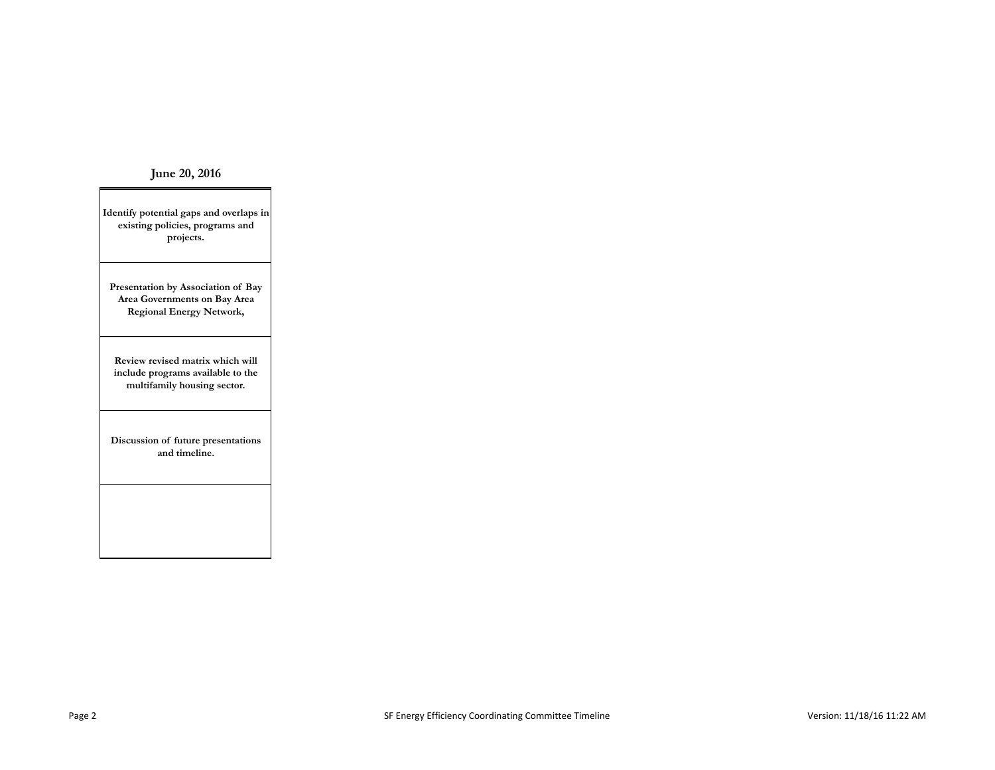#### **June 20, 2016**

**Identify potential gaps and overlaps in existing policies, programs and projects. Presentation by Association of Bay Area Governments on Bay Area Regional Energy Network, Review revised matrix which will include programs available to the multifamily housing sector. Discussion of future presentations and timeline.**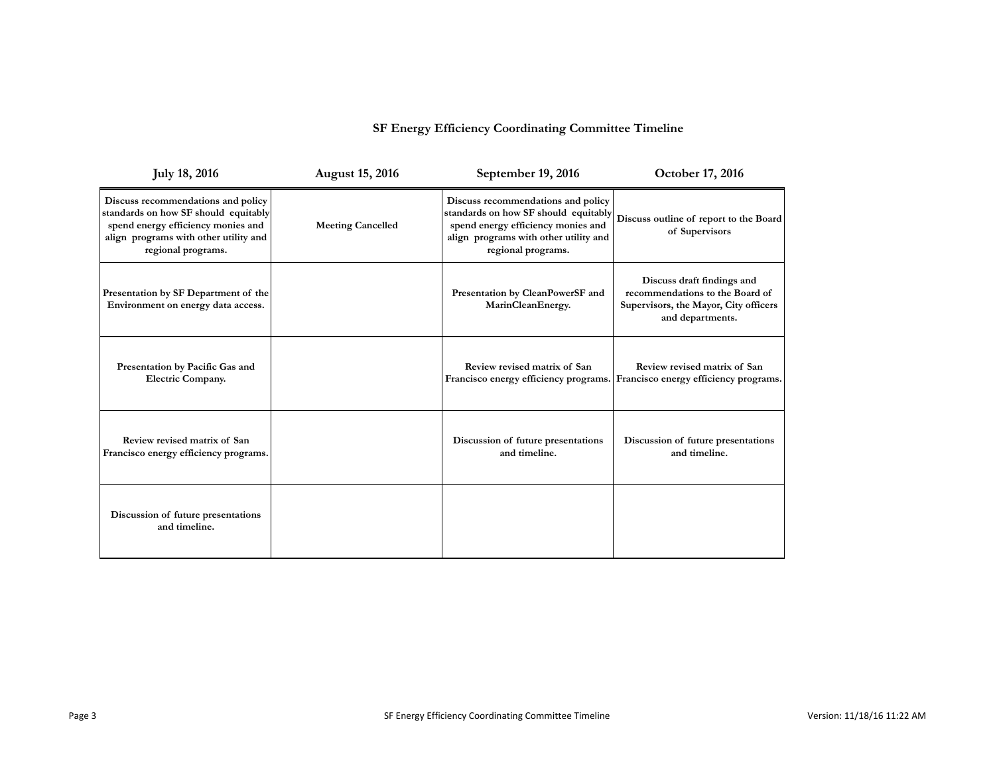# **SF Energy Efficiency Coordinating Committee Timeline**

| <b>July 18, 2016</b>                                                                                                                                                            | <b>August 15, 2016</b>   | September 19, 2016                                                                                                                                                              | October 17, 2016                                                                                                           |
|---------------------------------------------------------------------------------------------------------------------------------------------------------------------------------|--------------------------|---------------------------------------------------------------------------------------------------------------------------------------------------------------------------------|----------------------------------------------------------------------------------------------------------------------------|
| Discuss recommendations and policy<br>standards on how SF should equitably<br>spend energy efficiency monies and<br>align programs with other utility and<br>regional programs. | <b>Meeting Cancelled</b> | Discuss recommendations and policy<br>standards on how SF should equitably<br>spend energy efficiency monies and<br>align programs with other utility and<br>regional programs. | Discuss outline of report to the Board<br>of Supervisors                                                                   |
| Presentation by SF Department of the<br>Environment on energy data access.                                                                                                      |                          | Presentation by CleanPowerSF and<br>MarinCleanEnergy.                                                                                                                           | Discuss draft findings and<br>recommendations to the Board of<br>Supervisors, the Mayor, City officers<br>and departments. |
| Presentation by Pacific Gas and<br>Electric Company.                                                                                                                            |                          | Review revised matrix of San                                                                                                                                                    | Review revised matrix of San<br>Francisco energy efficiency programs. Francisco energy efficiency programs.                |
| Review revised matrix of San<br>Francisco energy efficiency programs.                                                                                                           |                          | Discussion of future presentations<br>and timeline.                                                                                                                             | Discussion of future presentations<br>and timeline.                                                                        |
| Discussion of future presentations<br>and timeline.                                                                                                                             |                          |                                                                                                                                                                                 |                                                                                                                            |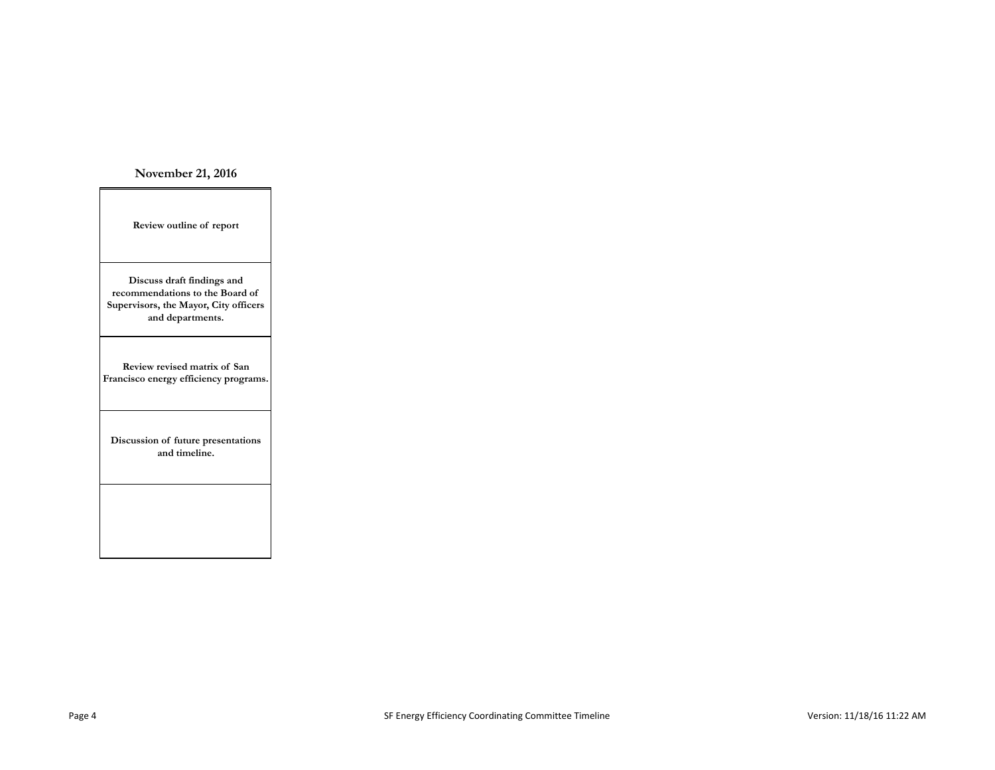# **November 21, 2016**

| Review outline of report                                                                                                   |
|----------------------------------------------------------------------------------------------------------------------------|
| Discuss draft findings and<br>recommendations to the Board of<br>Supervisors, the Mayor, City officers<br>and departments. |
| Review revised matrix of San<br>Francisco energy efficiency programs.                                                      |
| Discussion of future presentations<br>and timeline.                                                                        |
|                                                                                                                            |